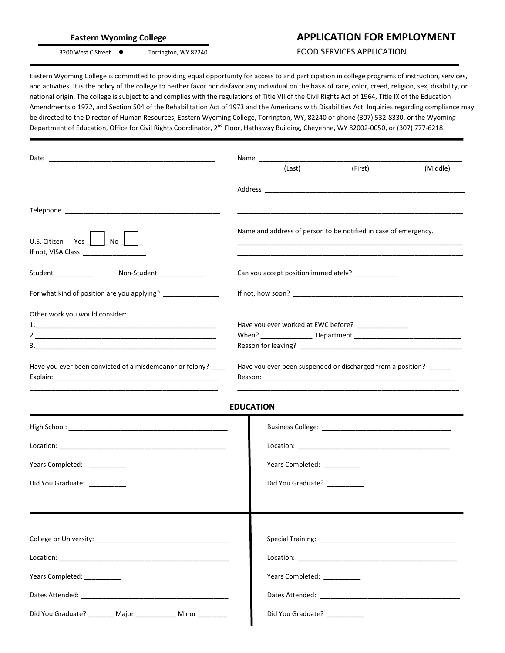|  | - |
|--|---|
|  |   |
|  |   |

## Eastern Wyoming College **APPLICATION FOR EMPLOYMENT**

3200 West C Street ● Torrington, WY 82240 FOOD SERVICES APPLICATION

Eastern Wyoming College is committed to providing equal opportunity for access to and participation in college programs of instruction, services, and activities. It is the policy of the college to neither favor nor disfavor any individual on the basis of race, color, creed, religion, sex, disability, or national origin. The college is subject to and complies with the regulations of Title VII of the Civil Rights Act of 1964, Title IX of the Education Amendments o 1972, and Section 504 of the Rehabilitation Act of 1973 and the Americans with Disabilities Act. Inquiries regarding compliance may be directed to the Director of Human Resources, Eastern Wyoming College, Torrington, WY, 82240 or phone (307) 532-8330, or the Wyoming Department of Education, Office for Civil Rights Coordinator, 2<sup>nd</sup> Floor, Hathaway Building, Cheyenne, WY 82002-0050, or (307) 777-6218.

|                                                                                            |                                                 | (Last)                       | (First)                                                                                                                   | (Middle) |
|--------------------------------------------------------------------------------------------|-------------------------------------------------|------------------------------|---------------------------------------------------------------------------------------------------------------------------|----------|
|                                                                                            |                                                 |                              |                                                                                                                           |          |
|                                                                                            |                                                 |                              |                                                                                                                           |          |
| U.S. Citizen Yes   No                                                                      |                                                 |                              | Name and address of person to be notified in case of emergency.                                                           |          |
| Non-Student ____________<br>Student ___________                                            | Can you accept position immediately? __________ |                              |                                                                                                                           |          |
| For what kind of position are you applying? ________________                               |                                                 |                              |                                                                                                                           |          |
| Other work you would consider:<br>Have you ever been convicted of a misdemeanor or felony? |                                                 |                              | Have you ever worked at EWC before? _______________<br>Have you ever been suspended or discharged from a position? ______ |          |
|                                                                                            | <b>EDUCATION</b>                                |                              |                                                                                                                           |          |
|                                                                                            |                                                 |                              |                                                                                                                           |          |
|                                                                                            |                                                 |                              |                                                                                                                           |          |
| Years Completed: __________                                                                |                                                 | Years Completed: ________    |                                                                                                                           |          |
| Did You Graduate: __________                                                               |                                                 | Did You Graduate? __________ |                                                                                                                           |          |
|                                                                                            |                                                 |                              |                                                                                                                           |          |
|                                                                                            |                                                 |                              |                                                                                                                           |          |
|                                                                                            |                                                 |                              |                                                                                                                           |          |
| Years Completed: ___________                                                               |                                                 | Years Completed: __________  |                                                                                                                           |          |
|                                                                                            |                                                 |                              |                                                                                                                           |          |
| Did You Graduate? ________ Major ____________ Minor _________                              |                                                 | Did You Graduate? __________ |                                                                                                                           |          |